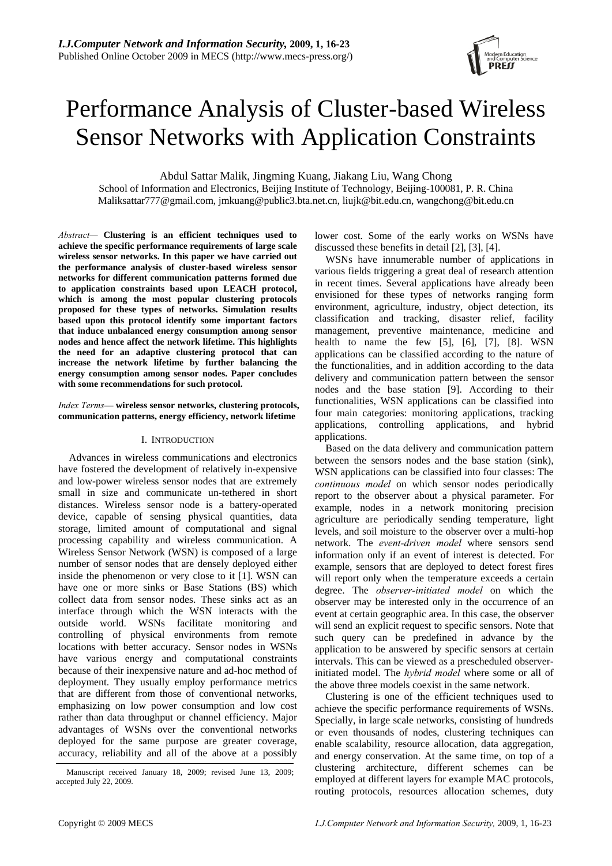

# Performance Analysis of Cluster-based Wireless Sensor Networks with Application Constraints

Abdul Sattar Malik, Jingming Kuang, Jiakang Liu, Wang Chong

School of Information and Electronics, Beijing Institute of Technology, Beijing-100081, P. R. China Maliksattar777@gmail.com, jmkuang@public3.bta.net.cn, liujk@bit.edu.cn, wangchong@bit.edu.cn

*Abstract—* **Clustering is an efficient techniques used to achieve the specific performance requirements of large scale wireless sensor networks. In this paper we have carried out the performance analysis of cluster-based wireless sensor networks for different communication patterns formed due to application constraints based upon LEACH protocol, which is among the most popular clustering protocols proposed for these types of networks. Simulation results based upon this protocol identify some important factors that induce unbalanced energy consumption among sensor nodes and hence affect the network lifetime. This highlights the need for an adaptive clustering protocol that can increase the network lifetime by further balancing the energy consumption among sensor nodes. Paper concludes with some recommendations for such protocol.** 

# *Index Terms*— **wireless sensor networks, clustering protocols, communication patterns, energy efficiency, network lifetime**

# I. INTRODUCTION

Advances in wireless communications and electronics have fostered the development of relatively in-expensive and low-power wireless sensor nodes that are extremely small in size and communicate un-tethered in short distances. Wireless sensor node is a battery-operated device, capable of sensing physical quantities, data storage, limited amount of computational and signal processing capability and wireless communication. A Wireless Sensor Network (WSN) is composed of a large number of sensor nodes that are densely deployed either inside the phenomenon or very close to it [1]. WSN can have one or more sinks or Base Stations (BS) which collect data from sensor nodes. These sinks act as an interface through which the WSN interacts with the outside world. WSNs facilitate monitoring and controlling of physical environments from remote locations with better accuracy. Sensor nodes in WSNs have various energy and computational constraints because of their inexpensive nature and ad-hoc method of deployment. They usually employ performance metrics that are different from those of conventional networks, emphasizing on low power consumption and low cost rather than data throughput or channel efficiency. Major advantages of WSNs over the conventional networks deployed for the same purpose are greater coverage, accuracy, reliability and all of the above at a possibly lower cost. Some of the early works on WSNs have discussed these benefits in detail [2], [3], [4].

WSNs have innumerable number of applications in various fields triggering a great deal of research attention in recent times. Several applications have already been envisioned for these types of networks ranging form environment, agriculture, industry, object detection, its classification and tracking, disaster relief, facility management, preventive maintenance, medicine and health to name the few [5], [6], [7], [8]. WSN applications can be classified according to the nature of the functionalities, and in addition according to the data delivery and communication pattern between the sensor nodes and the base station [9]. According to their functionalities, WSN applications can be classified into four main categories: monitoring applications, tracking applications, controlling applications, and hybrid applications.

Based on the data delivery and communication pattern between the sensors nodes and the base station (sink), WSN applications can be classified into four classes: The *continuous model* on which sensor nodes periodically report to the observer about a physical parameter. For example, nodes in a network monitoring precision agriculture are periodically sending temperature, light levels, and soil moisture to the observer over a multi-hop network. The *event-driven model* where sensors send information only if an event of interest is detected. For example, sensors that are deployed to detect forest fires will report only when the temperature exceeds a certain degree. The *observer-initiated model* on which the observer may be interested only in the occurrence of an event at certain geographic area. In this case, the observer will send an explicit request to specific sensors. Note that such query can be predefined in advance by the application to be answered by specific sensors at certain intervals. This can be viewed as a prescheduled observerinitiated model. The *hybrid model* where some or all of the above three models coexist in the same network.

Clustering is one of the efficient techniques used to achieve the specific performance requirements of WSNs. Specially, in large scale networks, consisting of hundreds or even thousands of nodes, clustering techniques can enable scalability, resource allocation, data aggregation, and energy conservation. At the same time, on top of a clustering architecture, different schemes can be employed at different layers for example MAC protocols, routing protocols, resources allocation schemes, duty

Manuscript received January 18, 2009; revised June 13, 2009; accepted July 22, 2009.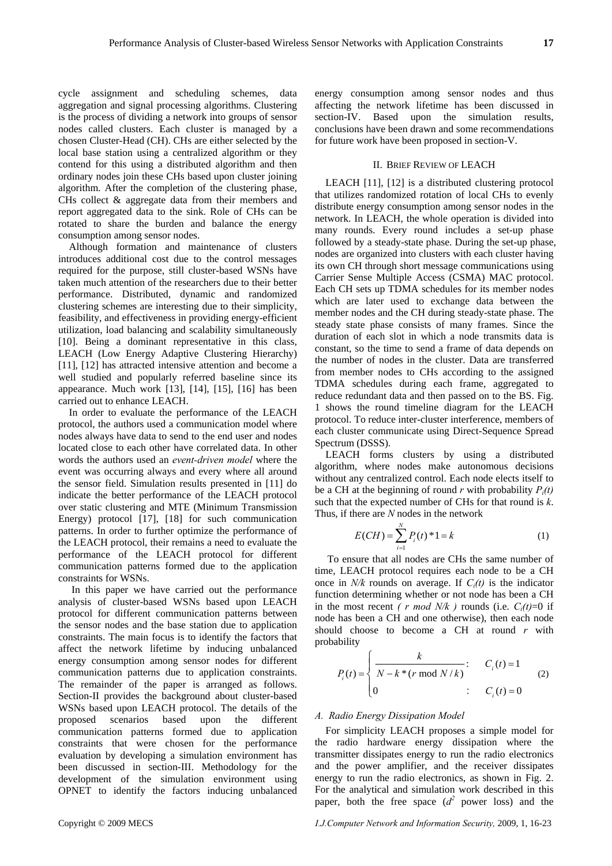cycle assignment and scheduling schemes, data aggregation and signal processing algorithms. Clustering is the process of dividing a network into groups of sensor nodes called clusters. Each cluster is managed by a chosen Cluster-Head (CH). CHs are either selected by the local base station using a centralized algorithm or they contend for this using a distributed algorithm and then ordinary nodes join these CHs based upon cluster joining algorithm. After the completion of the clustering phase, CHs collect & aggregate data from their members and report aggregated data to the sink. Role of CHs can be rotated to share the burden and balance the energy consumption among sensor nodes.

Although formation and maintenance of clusters introduces additional cost due to the control messages required for the purpose, still cluster-based WSNs have taken much attention of the researchers due to their better performance. Distributed, dynamic and randomized clustering schemes are interesting due to their simplicity, feasibility, and effectiveness in providing energy-efficient utilization, load balancing and scalability simultaneously [10]. Being a dominant representative in this class, LEACH (Low Energy Adaptive Clustering Hierarchy) [11], [12] has attracted intensive attention and become a well studied and popularly referred baseline since its appearance. Much work [13], [14], [15], [16] has been carried out to enhance LEACH.

In order to evaluate the performance of the LEACH protocol, the authors used a communication model where nodes always have data to send to the end user and nodes located close to each other have correlated data. In other words the authors used an *event-driven model* where the event was occurring always and every where all around the sensor field. Simulation results presented in [11] do indicate the better performance of the LEACH protocol over static clustering and MTE (Minimum Transmission Energy) protocol [17], [18] for such communication patterns. In order to further optimize the performance of the LEACH protocol, their remains a need to evaluate the performance of the LEACH protocol for different communication patterns formed due to the application constraints for WSNs.

 In this paper we have carried out the performance analysis of cluster-based WSNs based upon LEACH protocol for different communication patterns between the sensor nodes and the base station due to application constraints. The main focus is to identify the factors that affect the network lifetime by inducing unbalanced energy consumption among sensor nodes for different communication patterns due to application constraints. The remainder of the paper is arranged as follows. Section-II provides the background about cluster-based WSNs based upon LEACH protocol. The details of the proposed scenarios based upon the different communication patterns formed due to application constraints that were chosen for the performance evaluation by developing a simulation environment has been discussed in section-III. Methodology for the development of the simulation environment using OPNET to identify the factors inducing unbalanced

energy consumption among sensor nodes and thus affecting the network lifetime has been discussed in section-IV. Based upon the simulation results, conclusions have been drawn and some recommendations for future work have been proposed in section-V.

# II. BRIEF REVIEW OF LEACH

LEACH [11], [12] is a distributed clustering protocol that utilizes randomized rotation of local CHs to evenly distribute energy consumption among sensor nodes in the network. In LEACH, the whole operation is divided into many rounds. Every round includes a set-up phase followed by a steady-state phase. During the set-up phase, nodes are organized into clusters with each cluster having its own CH through short message communications using Carrier Sense Multiple Access (CSMA) MAC protocol. Each CH sets up TDMA schedules for its member nodes which are later used to exchange data between the member nodes and the CH during steady-state phase. The steady state phase consists of many frames. Since the duration of each slot in which a node transmits data is constant, so the time to send a frame of data depends on the number of nodes in the cluster. Data are transferred from member nodes to CHs according to the assigned TDMA schedules during each frame, aggregated to reduce redundant data and then passed on to the BS. Fig. 1 shows the round timeline diagram for the LEACH protocol. To reduce inter-cluster interference, members of each cluster communicate using Direct-Sequence Spread Spectrum (DSSS).

LEACH forms clusters by using a distributed algorithm, where nodes make autonomous decisions without any centralized control. Each node elects itself to be a CH at the beginning of round *r* with probability  $P_i(t)$ such that the expected number of CHs for that round is *k*. Thus, if there are *N* nodes in the network

$$
E(CH) = \sum_{i=1}^{N} P_i(t)^* 1 = k \tag{1}
$$

To ensure that all nodes are CHs the same number of time, LEACH protocol requires each node to be a CH once in *N/k* rounds on average. If *Ci(t)* is the indicator function determining whether or not node has been a CH in the most recent *( r mod N/k )* rounds (i.e.  $C_i(t)=0$  if node has been a CH and one otherwise), then each node should choose to become a CH at round *r* with probability

$$
P_i(t) = \begin{cases} \frac{k}{N - k * (r \bmod N / k)}: & C_i(t) = 1 \\ 0 & : C_i(t) = 0 \end{cases}
$$
 (2)

# *A. Radio Energy Dissipation Model*

For simplicity LEACH proposes a simple model for the radio hardware energy dissipation where the transmitter dissipates energy to run the radio electronics and the power amplifier, and the receiver dissipates energy to run the radio electronics, as shown in Fig. 2. For the analytical and simulation work described in this paper, both the free space  $(d^2)$  power loss) and the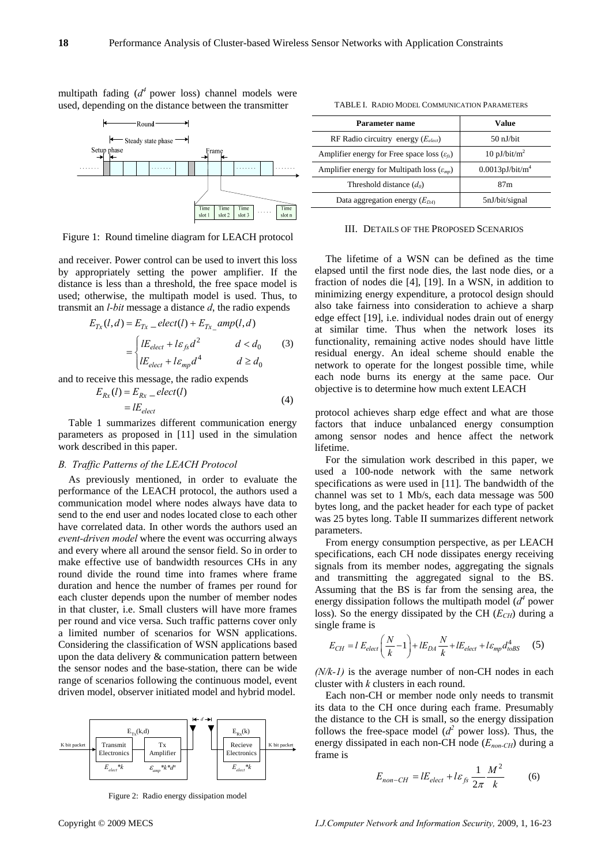multipath fading  $(d^4)$  power loss) channel models were used, depending on the distance between the transmitter



Figure 1: Round timeline diagram for LEACH protocol

and receiver. Power control can be used to invert this loss by appropriately setting the power amplifier. If the distance is less than a threshold, the free space model is used; otherwise, the multipath model is used. Thus, to transmit an *l-bit* message a distance *d*, the radio expends

$$
E_{Tx}(l,d) = E_{Tx} = elect(l) + E_{Tx} \text{ }amp(l,d)
$$
\n
$$
= \begin{cases} lE_{elect} + l\varepsilon_{fs}d^2 & d < d_0\\ lE_{elect} + l\varepsilon_{mp}d^4 & d \ge d_0 \end{cases} \tag{3}
$$

and to receive this message, the radio expends

$$
E_{Rx}(l) = E_{Rx} - elect(l)
$$
  
=  $lE_{elect}$  (4)

Table 1 summarizes different communication energy parameters as proposed in [11] used in the simulation work described in this paper.

## *B. Traffic Patterns of the LEACH Protocol*

As previously mentioned, in order to evaluate the performance of the LEACH protocol, the authors used a communication model where nodes always have data to send to the end user and nodes located close to each other have correlated data. In other words the authors used an *event-driven model* where the event was occurring always and every where all around the sensor field. So in order to make effective use of bandwidth resources CHs in any round divide the round time into frames where frame duration and hence the number of frames per round for each cluster depends upon the number of member nodes in that cluster, i.e. Small clusters will have more frames per round and vice versa. Such traffic patterns cover only a limited number of scenarios for WSN applications. Considering the classification of WSN applications based upon the data delivery & communication pattern between the sensor nodes and the base-station, there can be wide range of scenarios following the continuous model, event driven model, observer initiated model and hybrid model.



Figure 2: Radio energy dissipation model

| <b>Parameter name</b>                                    | Value                       |
|----------------------------------------------------------|-----------------------------|
| RF Radio circuitry energy $(E_{elect})$                  | $50$ nJ/bit                 |
| Amplifier energy for Free space loss $(\varepsilon_f)$   | 10 pJ/bit/ $m^2$            |
| Amplifier energy for Multipath loss $(\varepsilon_{mp})$ | 0.0013pJ/bit/m <sup>4</sup> |
| Threshold distance $(d_0)$                               | 87 <sub>m</sub>             |
| Data aggregation energy $(E_{DA}$                        | 5nJ/bit/signal              |

#### TABLE I. RADIO MODEL COMMUNICATION PARAMETERS

III. DETAILS OF THE PROPOSED SCENARIOS

The lifetime of a WSN can be defined as the time elapsed until the first node dies, the last node dies, or a fraction of nodes die [4], [19]. In a WSN, in addition to minimizing energy expenditure, a protocol design should also take fairness into consideration to achieve a sharp edge effect [19], i.e. individual nodes drain out of energy at similar time. Thus when the network loses its functionality, remaining active nodes should have little residual energy. An ideal scheme should enable the network to operate for the longest possible time, while each node burns its energy at the same pace. Our objective is to determine how much extent LEACH

protocol achieves sharp edge effect and what are those factors that induce unbalanced energy consumption among sensor nodes and hence affect the network lifetime.

For the simulation work described in this paper, we used a 100-node network with the same network specifications as were used in [11]. The bandwidth of the channel was set to 1 Mb/s, each data message was 500 bytes long, and the packet header for each type of packet was 25 bytes long. Table II summarizes different network parameters.

From energy consumption perspective, as per LEACH specifications, each CH node dissipates energy receiving signals from its member nodes, aggregating the signals and transmitting the aggregated signal to the BS. Assuming that the BS is far from the sensing area, the energy dissipation follows the multipath model  $(d<sup>4</sup>$  power loss). So the energy dissipated by the CH  $(E<sub>CH</sub>)$  during a single frame is

$$
E_{CH} = l E_{elect} \left(\frac{N}{k} - 1\right) + l E_{DA} \frac{N}{k} + l E_{elect} + l \varepsilon_{mp} d_{toBS}^4 \tag{5}
$$

*(N/k-1)* is the average number of non-CH nodes in each cluster with *k* clusters in each round.

Each non-CH or member node only needs to transmit its data to the CH once during each frame. Presumably the distance to the CH is small, so the energy dissipation follows the free-space model  $(d^2)$  power loss). Thus, the energy dissipated in each non-CH node (*Enon-CH*) during a frame is

$$
E_{non-CH} = lE_{elect} + l\varepsilon_{fs} \frac{1}{2\pi} \frac{M^2}{k}
$$
 (6)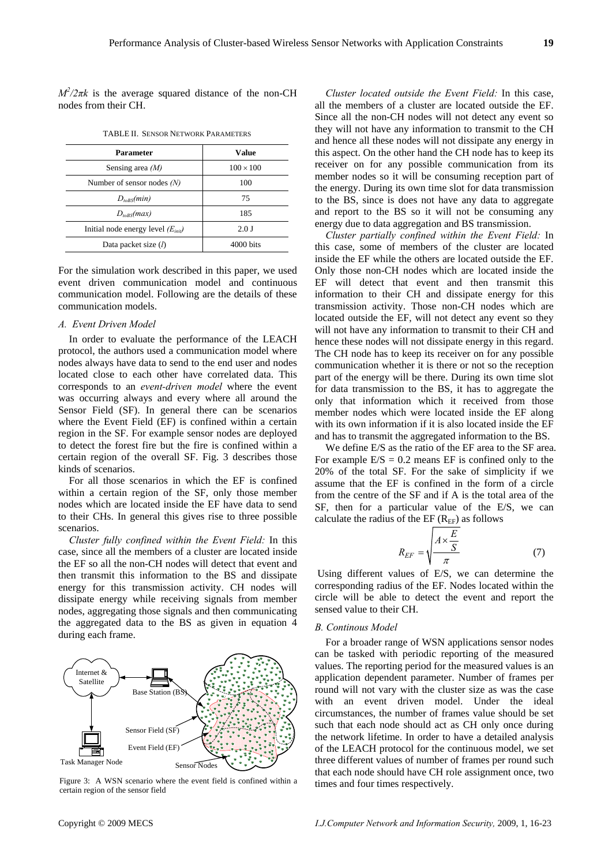$M^2/2\pi k$  is the average squared distance of the non-CH nodes from their CH.

| Parameter                              | Value               |
|----------------------------------------|---------------------|
| Sensing area $(M)$                     | $100 \times 100$    |
| Number of sensor nodes $(N)$           | 100                 |
| $D_{toBS}(min)$                        | 75                  |
| $D_{toBS}(max)$                        | 185                 |
| Initial node energy level $(E_{init})$ | 2.0J                |
| Data packet size $(l)$                 | $4000 \text{ bits}$ |

TABLE II. SENSOR NETWORK PARAMETERS

For the simulation work described in this paper, we used event driven communication model and continuous communication model. Following are the details of these communication models.

## *A. Event Driven Model*

In order to evaluate the performance of the LEACH protocol, the authors used a communication model where nodes always have data to send to the end user and nodes located close to each other have correlated data. This corresponds to an *event-driven model* where the event was occurring always and every where all around the Sensor Field (SF). In general there can be scenarios where the Event Field (EF) is confined within a certain region in the SF. For example sensor nodes are deployed to detect the forest fire but the fire is confined within a certain region of the overall SF. Fig. 3 describes those kinds of scenarios.

For all those scenarios in which the EF is confined within a certain region of the SF, only those member nodes which are located inside the EF have data to send to their CHs. In general this gives rise to three possible scenarios.

*Cluster fully confined within the Event Field:* In this case, since all the members of a cluster are located inside the EF so all the non-CH nodes will detect that event and then transmit this information to the BS and dissipate energy for this transmission activity. CH nodes will dissipate energy while receiving signals from member nodes, aggregating those signals and then communicating the aggregated data to the BS as given in equation 4 during each frame.



Figure 3: A WSN scenario where the event field is confined within a certain region of the sensor field

*Cluster located outside the Event Field:* In this case, all the members of a cluster are located outside the EF. Since all the non-CH nodes will not detect any event so they will not have any information to transmit to the CH and hence all these nodes will not dissipate any energy in this aspect. On the other hand the CH node has to keep its receiver on for any possible communication from its member nodes so it will be consuming reception part of the energy. During its own time slot for data transmission to the BS, since is does not have any data to aggregate and report to the BS so it will not be consuming any energy due to data aggregation and BS transmission.

*Cluster partially confined within the Event Field:* In this case, some of members of the cluster are located inside the EF while the others are located outside the EF. Only those non-CH nodes which are located inside the EF will detect that event and then transmit this information to their CH and dissipate energy for this transmission activity. Those non-CH nodes which are located outside the EF, will not detect any event so they will not have any information to transmit to their CH and hence these nodes will not dissipate energy in this regard. The CH node has to keep its receiver on for any possible communication whether it is there or not so the reception part of the energy will be there. During its own time slot for data transmission to the BS, it has to aggregate the only that information which it received from those member nodes which were located inside the EF along with its own information if it is also located inside the EF and has to transmit the aggregated information to the BS.

We define E/S as the ratio of the EF area to the SF area. For example  $E/S = 0.2$  means EF is confined only to the 20% of the total SF. For the sake of simplicity if we assume that the EF is confined in the form of a circle from the centre of the SF and if A is the total area of the SF, then for a particular value of the E/S, we can calculate the radius of the EF  $(R<sub>EF</sub>)$  as follows

$$
R_{EF} = \sqrt{\frac{A \times \frac{E}{S}}{\pi}} \tag{7}
$$

 Using different values of E/S, we can determine the corresponding radius of the EF. Nodes located within the circle will be able to detect the event and report the sensed value to their CH.

## *B. Continous Model*

For a broader range of WSN applications sensor nodes can be tasked with periodic reporting of the measured values. The reporting period for the measured values is an application dependent parameter. Number of frames per round will not vary with the cluster size as was the case with an event driven model. Under the ideal circumstances, the number of frames value should be set such that each node should act as CH only once during the network lifetime. In order to have a detailed analysis of the LEACH protocol for the continuous model, we set three different values of number of frames per round such that each node should have CH role assignment once, two times and four times respectively.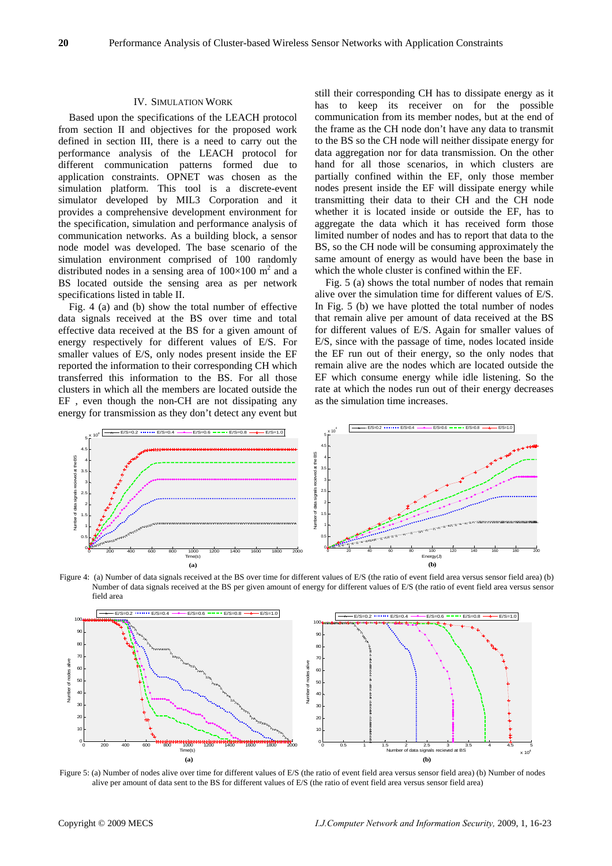## IV. SIMULATION WORK

Based upon the specifications of the LEACH protocol from section II and objectives for the proposed work defined in section III, there is a need to carry out the performance analysis of the LEACH protocol for different communication patterns formed due to application constraints. OPNET was chosen as the simulation platform. This tool is a discrete-event simulator developed by MIL3 Corporation and it provides a comprehensive development environment for the specification, simulation and performance analysis of communication networks. As a building block, a sensor node model was developed. The base scenario of the simulation environment comprised of 100 randomly distributed nodes in a sensing area of  $100\times100$  m<sup>2</sup> and a BS located outside the sensing area as per network specifications listed in table II.

Fig. 4 (a) and (b) show the total number of effective data signals received at the BS over time and total effective data received at the BS for a given amount of energy respectively for different values of E/S. For smaller values of E/S, only nodes present inside the EF reported the information to their corresponding CH which transferred this information to the BS. For all those clusters in which all the members are located outside the EF , even though the non-CH are not dissipating any energy for transmission as they don't detect any event but still their corresponding CH has to dissipate energy as it has to keep its receiver on for the possible communication from its member nodes, but at the end of the frame as the CH node don't have any data to transmit to the BS so the CH node will neither dissipate energy for data aggregation nor for data transmission. On the other hand for all those scenarios, in which clusters are partially confined within the EF, only those member nodes present inside the EF will dissipate energy while transmitting their data to their CH and the CH node whether it is located inside or outside the EF, has to aggregate the data which it has received form those limited number of nodes and has to report that data to the BS, so the CH node will be consuming approximately the same amount of energy as would have been the base in which the whole cluster is confined within the EF.

Fig. 5 (a) shows the total number of nodes that remain alive over the simulation time for different values of E/S. In Fig. 5 (b) we have plotted the total number of nodes that remain alive per amount of data received at the BS for different values of E/S. Again for smaller values of E/S, since with the passage of time, nodes located inside the EF run out of their energy, so the only nodes that remain alive are the nodes which are located outside the EF which consume energy while idle listening. So the rate at which the nodes run out of their energy decreases as the simulation time increases.



Figure 4: (a) Number of data signals received at the BS over time for different values of E/S (the ratio of event field area versus sensor field area) (b) Number of data signals received at the BS per given amount of energy for different values of E/S (the ratio of event field area versus sensor field area



Figure 5: (a) Number of nodes alive over time for different values of E/S (the ratio of event field area versus sensor field area) (b) Number of nodes alive per amount of data sent to the BS for different values of E/S (the ratio of event field area versus sensor field area)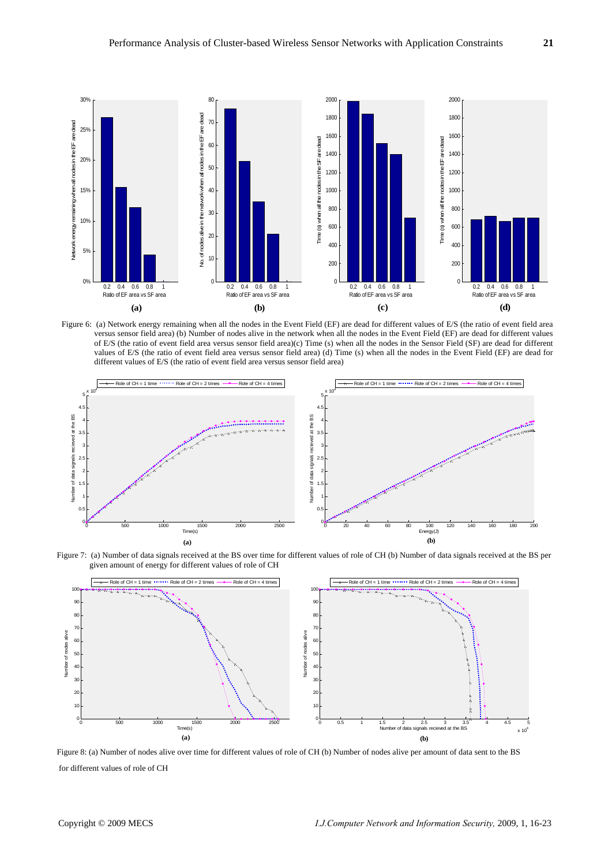

Figure 6: (a) Network energy remaining when all the nodes in the Event Field (EF) are dead for different values of E/S (the ratio of event field area versus sensor field area) (b) Number of nodes alive in the network when all the nodes in the Event Field (EF) are dead for different values of E/S (the ratio of event field area versus sensor field area)(c) Time (s) when all the nodes in the Sensor Field (SF) are dead for different values of E/S (the ratio of event field area versus sensor field area) (d) Time (s) when all the nodes in the Event Field (EF) are dead for different values of E/S (the ratio of event field area versus sensor field area)



Figure 7: (a) Number of data signals received at the BS over time for different values of role of CH (b) Number of data signals received at the BS per given amount of energy for different values of role of CH



Figure 8: (a) Number of nodes alive over time for different values of role of CH (b) Number of nodes alive per amount of data sent to the BS for different values of role of CH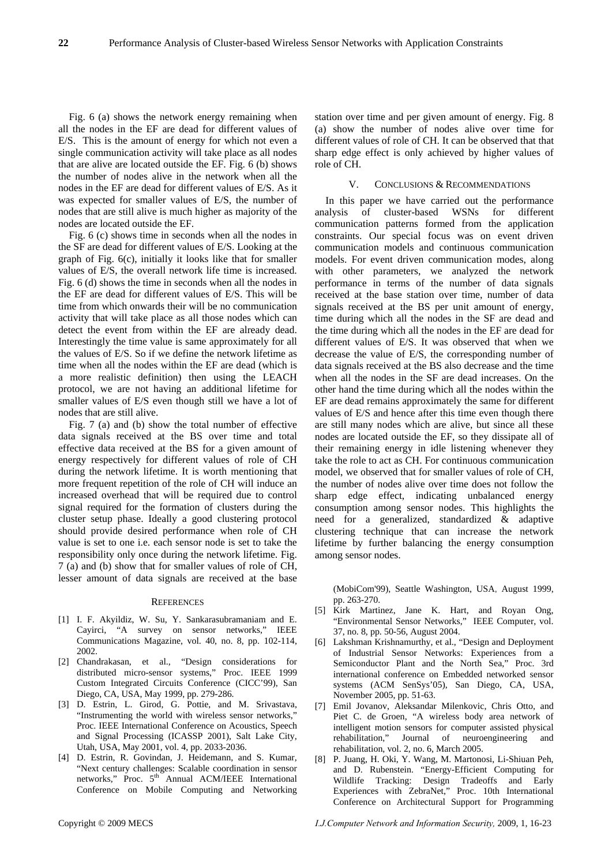Fig. 6 (a) shows the network energy remaining when all the nodes in the EF are dead for different values of E/S. This is the amount of energy for which not even a single communication activity will take place as all nodes that are alive are located outside the EF. Fig. 6 (b) shows the number of nodes alive in the network when all the nodes in the EF are dead for different values of E/S. As it was expected for smaller values of E/S, the number of nodes that are still alive is much higher as majority of the nodes are located outside the EF.

Fig. 6 (c) shows time in seconds when all the nodes in the SF are dead for different values of E/S. Looking at the graph of Fig. 6(c), initially it looks like that for smaller values of E/S, the overall network life time is increased. Fig. 6 (d) shows the time in seconds when all the nodes in the EF are dead for different values of E/S. This will be time from which onwards their will be no communication activity that will take place as all those nodes which can detect the event from within the EF are already dead. Interestingly the time value is same approximately for all the values of E/S. So if we define the network lifetime as time when all the nodes within the EF are dead (which is a more realistic definition) then using the LEACH protocol, we are not having an additional lifetime for smaller values of E/S even though still we have a lot of nodes that are still alive.

Fig. 7 (a) and (b) show the total number of effective data signals received at the BS over time and total effective data received at the BS for a given amount of energy respectively for different values of role of CH during the network lifetime. It is worth mentioning that more frequent repetition of the role of CH will induce an increased overhead that will be required due to control signal required for the formation of clusters during the cluster setup phase. Ideally a good clustering protocol should provide desired performance when role of CH value is set to one i.e. each sensor node is set to take the responsibility only once during the network lifetime. Fig. 7 (a) and (b) show that for smaller values of role of CH, lesser amount of data signals are received at the base

## **REFERENCES**

- [1] I. F. Akyildiz, W. Su, Y. Sankarasubramaniam and E. Cayirci, "A survey on sensor networks," IEEE Communications Magazine, vol. 40, no. 8, pp. 102-114, 2002.
- [2] Chandrakasan, et al., "Design considerations for distributed micro-sensor systems," Proc. IEEE 1999 Custom Integrated Circuits Conference (CICC'99), San Diego, CA, USA, May 1999, pp. 279-286.
- [3] D. Estrin, L. Girod, G. Pottie, and M. Srivastava, "Instrumenting the world with wireless sensor networks," Proc. IEEE International Conference on Acoustics, Speech and Signal Processing (ICASSP 2001), Salt Lake City, Utah, USA, May 2001, vol. 4, pp. 2033-2036.
- [4] D. Estrin, R. Govindan, J. Heidemann, and S. Kumar, "Next century challenges: Scalable coordination in sensor networks," Proc. 5<sup>th</sup> Annual ACM/IEEE International Conference on Mobile Computing and Networking

station over time and per given amount of energy. Fig. 8 (a) show the number of nodes alive over time for different values of role of CH. It can be observed that that sharp edge effect is only achieved by higher values of role of CH.

## V. CONCLUSIONS & RECOMMENDATIONS

In this paper we have carried out the performance analysis of cluster-based WSNs for different communication patterns formed from the application constraints. Our special focus was on event driven communication models and continuous communication models. For event driven communication modes, along with other parameters, we analyzed the network performance in terms of the number of data signals received at the base station over time, number of data signals received at the BS per unit amount of energy, time during which all the nodes in the SF are dead and the time during which all the nodes in the EF are dead for different values of E/S. It was observed that when we decrease the value of E/S, the corresponding number of data signals received at the BS also decrease and the time when all the nodes in the SF are dead increases. On the other hand the time during which all the nodes within the EF are dead remains approximately the same for different values of E/S and hence after this time even though there are still many nodes which are alive, but since all these nodes are located outside the EF, so they dissipate all of their remaining energy in idle listening whenever they take the role to act as CH. For continuous communication model, we observed that for smaller values of role of CH, the number of nodes alive over time does not follow the sharp edge effect, indicating unbalanced energy consumption among sensor nodes. This highlights the need for a generalized, standardized & adaptive clustering technique that can increase the network lifetime by further balancing the energy consumption among sensor nodes.

(MobiCom'99), Seattle Washington, USA, August 1999, pp. 263-270.

- [5] Kirk Martinez, Jane K. Hart, and Royan Ong, "Environmental Sensor Networks," IEEE Computer, vol. 37, no. 8, pp. 50-56, August 2004.
- [6] Lakshman Krishnamurthy, et al., "Design and Deployment of Industrial Sensor Networks: Experiences from a Semiconductor Plant and the North Sea," Proc. 3rd international conference on Embedded networked sensor systems (ACM SenSys'05), San Diego, CA, USA, November 2005, pp. 51-63.
- [7] Emil Jovanov, Aleksandar Milenkovic, Chris Otto, and Piet C. de Groen, "A wireless body area network of intelligent motion sensors for computer assisted physical rehabilitation," Journal of neuroengineering and rehabilitation, vol. 2, no. 6, March 2005.
- [8] P. Juang, H. Oki, Y. Wang, M. Martonosi, Li-Shiuan Peh, and D. Rubenstein. "Energy-Efficient Computing for Wildlife Tracking: Design Tradeoffs and Early Experiences with ZebraNet," Proc. 10th International Conference on Architectural Support for Programming